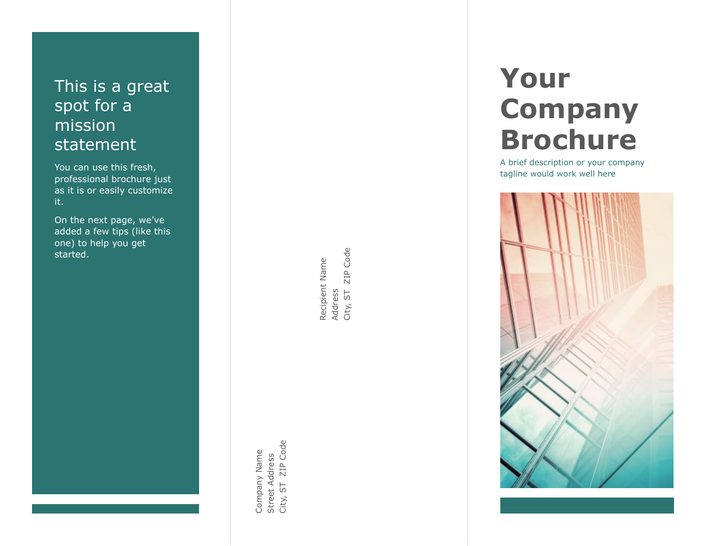## This is a great spot for a mission statement

You can use this fresh, professional brochure just as it is or easily customize it.

On the next page, we 've added a few tips (like this one) to help you get started.

> ZIP Code City, ST ZIP Code Street Address<br>City, ST ZIP Coc Company Name Company Name Street Address

ZIP Code City, ST ZIP Code Recipient Name<br>Address<br>City, ST ZIP Cod Recipient Name

# **Your Company Brochure**

A brief description or your company tagline would work well here